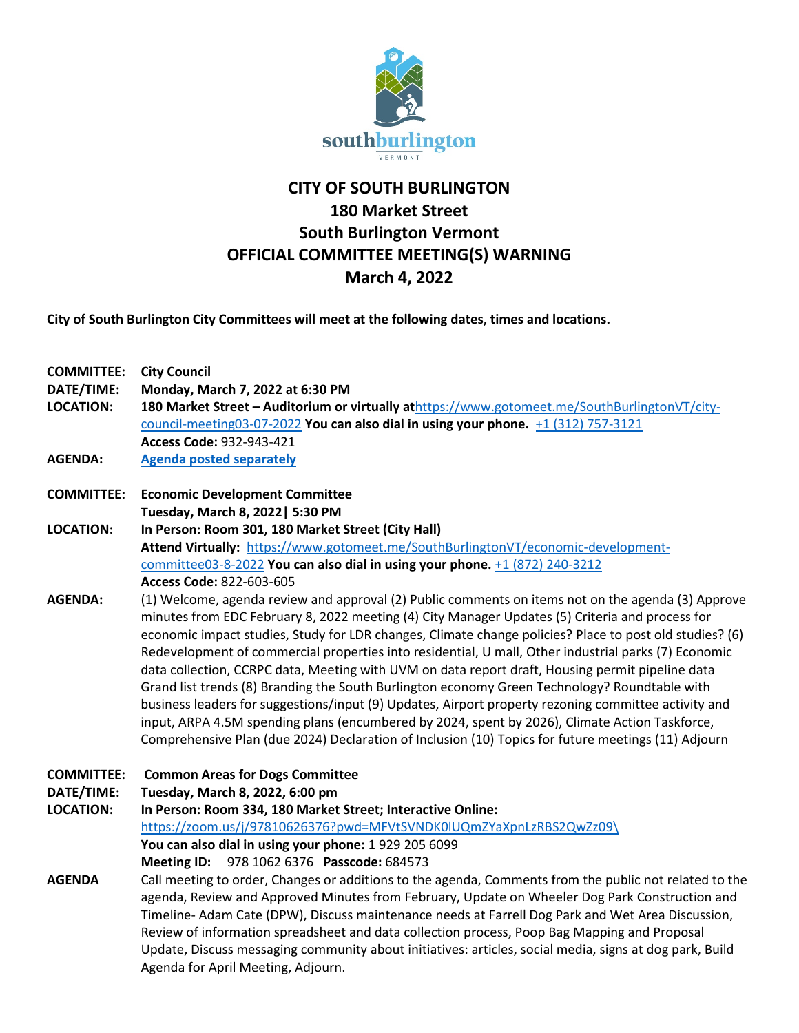

## **CITY OF SOUTH BURLINGTON 180 Market Street South Burlington Vermont OFFICIAL COMMITTEE MEETING(S) WARNING March 4, 2022**

**City of South Burlington City Committees will meet at the following dates, times and locations.** 

| <b>COMMITTEE:</b><br>DATE/TIME:<br><b>LOCATION:</b> | <b>City Council</b><br>Monday, March 7, 2022 at 6:30 PM<br>180 Market Street - Auditorium or virtually athttps://www.gotomeet.me/SouthBurlingtonVT/city-<br>council-meeting03-07-2022 You can also dial in using your phone. +1 (312) 757-3121<br>Access Code: 932-943-421                                                                                                                                                                                                                                                                                     |
|-----------------------------------------------------|----------------------------------------------------------------------------------------------------------------------------------------------------------------------------------------------------------------------------------------------------------------------------------------------------------------------------------------------------------------------------------------------------------------------------------------------------------------------------------------------------------------------------------------------------------------|
| <b>AGENDA:</b>                                      | <b>Agenda posted separately</b>                                                                                                                                                                                                                                                                                                                                                                                                                                                                                                                                |
| <b>COMMITTEE:</b>                                   | <b>Economic Development Committee</b>                                                                                                                                                                                                                                                                                                                                                                                                                                                                                                                          |
|                                                     | Tuesday, March 8, 2022   5:30 PM                                                                                                                                                                                                                                                                                                                                                                                                                                                                                                                               |
| <b>LOCATION:</b>                                    | In Person: Room 301, 180 Market Street (City Hall)                                                                                                                                                                                                                                                                                                                                                                                                                                                                                                             |
|                                                     | Attend Virtually: https://www.gotomeet.me/SouthBurlingtonVT/economic-development-                                                                                                                                                                                                                                                                                                                                                                                                                                                                              |
|                                                     | committee03-8-2022 You can also dial in using your phone. +1 (872) 240-3212                                                                                                                                                                                                                                                                                                                                                                                                                                                                                    |
|                                                     | Access Code: 822-603-605                                                                                                                                                                                                                                                                                                                                                                                                                                                                                                                                       |
| <b>AGENDA:</b>                                      | (1) Welcome, agenda review and approval (2) Public comments on items not on the agenda (3) Approve<br>minutes from EDC February 8, 2022 meeting (4) City Manager Updates (5) Criteria and process for                                                                                                                                                                                                                                                                                                                                                          |
|                                                     | economic impact studies, Study for LDR changes, Climate change policies? Place to post old studies? (6)                                                                                                                                                                                                                                                                                                                                                                                                                                                        |
|                                                     | Redevelopment of commercial properties into residential, U mall, Other industrial parks (7) Economic                                                                                                                                                                                                                                                                                                                                                                                                                                                           |
|                                                     | data collection, CCRPC data, Meeting with UVM on data report draft, Housing permit pipeline data                                                                                                                                                                                                                                                                                                                                                                                                                                                               |
|                                                     | Grand list trends (8) Branding the South Burlington economy Green Technology? Roundtable with                                                                                                                                                                                                                                                                                                                                                                                                                                                                  |
|                                                     | business leaders for suggestions/input (9) Updates, Airport property rezoning committee activity and                                                                                                                                                                                                                                                                                                                                                                                                                                                           |
|                                                     | input, ARPA 4.5M spending plans (encumbered by 2024, spent by 2026), Climate Action Taskforce,                                                                                                                                                                                                                                                                                                                                                                                                                                                                 |
|                                                     | Comprehensive Plan (due 2024) Declaration of Inclusion (10) Topics for future meetings (11) Adjourn                                                                                                                                                                                                                                                                                                                                                                                                                                                            |
| <b>COMMITTEE:</b>                                   | <b>Common Areas for Dogs Committee</b>                                                                                                                                                                                                                                                                                                                                                                                                                                                                                                                         |
| DATE/TIME:                                          | Tuesday, March 8, 2022, 6:00 pm                                                                                                                                                                                                                                                                                                                                                                                                                                                                                                                                |
| <b>LOCATION:</b>                                    | In Person: Room 334, 180 Market Street; Interactive Online:                                                                                                                                                                                                                                                                                                                                                                                                                                                                                                    |
|                                                     | https://zoom.us/j/97810626376?pwd=MFVtSVNDK0lUQmZYaXpnLzRBS2QwZz09\                                                                                                                                                                                                                                                                                                                                                                                                                                                                                            |
|                                                     | You can also dial in using your phone: 1 929 205 6099                                                                                                                                                                                                                                                                                                                                                                                                                                                                                                          |
|                                                     | Meeting ID: 978 1062 6376 Passcode: 684573                                                                                                                                                                                                                                                                                                                                                                                                                                                                                                                     |
| <b>AGENDA</b>                                       | Call meeting to order, Changes or additions to the agenda, Comments from the public not related to the<br>agenda, Review and Approved Minutes from February, Update on Wheeler Dog Park Construction and<br>Timeline- Adam Cate (DPW), Discuss maintenance needs at Farrell Dog Park and Wet Area Discussion,<br>Review of information spreadsheet and data collection process, Poop Bag Mapping and Proposal<br>Update, Discuss messaging community about initiatives: articles, social media, signs at dog park, Build<br>Agenda for April Meeting, Adjourn. |
|                                                     |                                                                                                                                                                                                                                                                                                                                                                                                                                                                                                                                                                |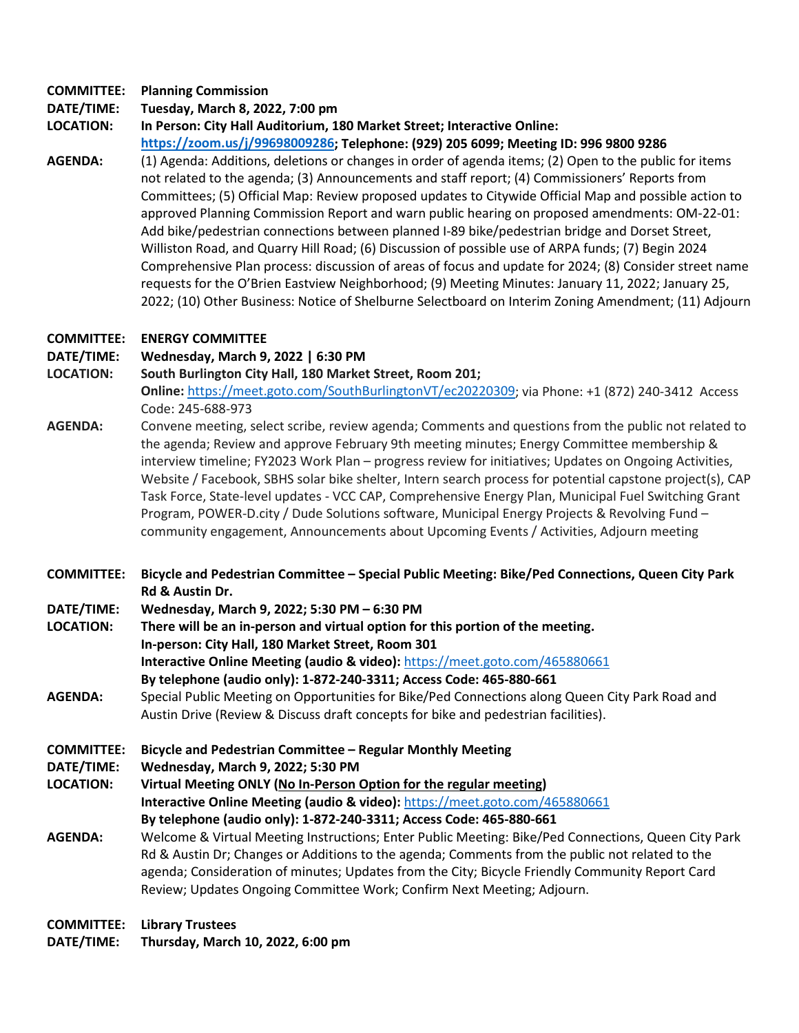## **COMMITTEE: Planning Commission**

**DATE/TIME: Tuesday, March 8, 2022, 7:00 pm**

**LOCATION: In Person: City Hall Auditorium, 180 Market Street; Interactive Online: [https://zoom.us/j/99698009286;](https://zoom.us/j/99698009286) Telephone: (929) 205 6099; Meeting ID: 996 9800 9286**

**AGENDA:** (1) Agenda: Additions, deletions or changes in order of agenda items; (2) Open to the public for items not related to the agenda; (3) Announcements and staff report; (4) Commissioners' Reports from Committees; (5) Official Map: Review proposed updates to Citywide Official Map and possible action to approved Planning Commission Report and warn public hearing on proposed amendments: OM-22-01: Add bike/pedestrian connections between planned I-89 bike/pedestrian bridge and Dorset Street, Williston Road, and Quarry Hill Road; (6) Discussion of possible use of ARPA funds; (7) Begin 2024 Comprehensive Plan process: discussion of areas of focus and update for 2024; (8) Consider street name requests for the O'Brien Eastview Neighborhood; (9) Meeting Minutes: January 11, 2022; January 25, 2022; (10) Other Business: Notice of Shelburne Selectboard on Interim Zoning Amendment; (11) Adjourn

## **COMMITTEE: ENERGY COMMITTEE**

## **DATE/TIME: Wednesday, March 9, 2022 | 6:30 PM**

**LOCATION: South Burlington City Hall, 180 Market Street, Room 201;** 

**Online:** [https://meet.goto.com/SouthBurlingtonVT/ec20220309;](https://meet.goto.com/SouthBurlingtonVT/ec20220309) via Phone: +1 (872) 240-3412 Access Code: 245-688-973

- **AGENDA:** Convene meeting, select scribe, review agenda; Comments and questions from the public not related to the agenda; Review and approve February 9th meeting minutes; Energy Committee membership & interview timeline; FY2023 Work Plan – progress review for initiatives; Updates on Ongoing Activities, Website / Facebook, SBHS solar bike shelter, Intern search process for potential capstone project(s), CAP Task Force, State-level updates - VCC CAP, Comprehensive Energy Plan, Municipal Fuel Switching Grant Program, POWER-D.city / Dude Solutions software, Municipal Energy Projects & Revolving Fund – community engagement, Announcements about Upcoming Events / Activities, Adjourn meeting
- **COMMITTEE: Bicycle and Pedestrian Committee – Special Public Meeting: Bike/Ped Connections, Queen City Park Rd & Austin Dr.**

**DATE/TIME: Wednesday, March 9, 2022; 5:30 PM – 6:30 PM**

- **LOCATION: There will be an in-person and virtual option for this portion of the meeting. In-person: City Hall, 180 Market Street, Room 301 Interactive Online Meeting (audio & video):** <https://meet.goto.com/465880661> **By telephone (audio only): 1-872-240-3311; Access Code: 465-880-661**
- **AGENDA:** Special Public Meeting on Opportunities for Bike/Ped Connections along Queen City Park Road and Austin Drive (Review & Discuss draft concepts for bike and pedestrian facilities).
- **COMMITTEE: Bicycle and Pedestrian Committee – Regular Monthly Meeting**
- **DATE/TIME: Wednesday, March 9, 2022; 5:30 PM**
- **LOCATION: Virtual Meeting ONLY (No In-Person Option for the regular meeting) Interactive Online Meeting (audio & video):** <https://meet.goto.com/465880661> **By telephone (audio only): 1-872-240-3311; Access Code: 465-880-661 AGENDA:** Welcome & Virtual Meeting Instructions; Enter Public Meeting: Bike/Ped Connections, Queen City Park
- Rd & Austin Dr; Changes or Additions to the agenda; Comments from the public not related to the agenda; Consideration of minutes; Updates from the City; Bicycle Friendly Community Report Card Review; Updates Ongoing Committee Work; Confirm Next Meeting; Adjourn.

**COMMITTEE: Library Trustees DATE/TIME: Thursday, March 10, 2022, 6:00 pm**